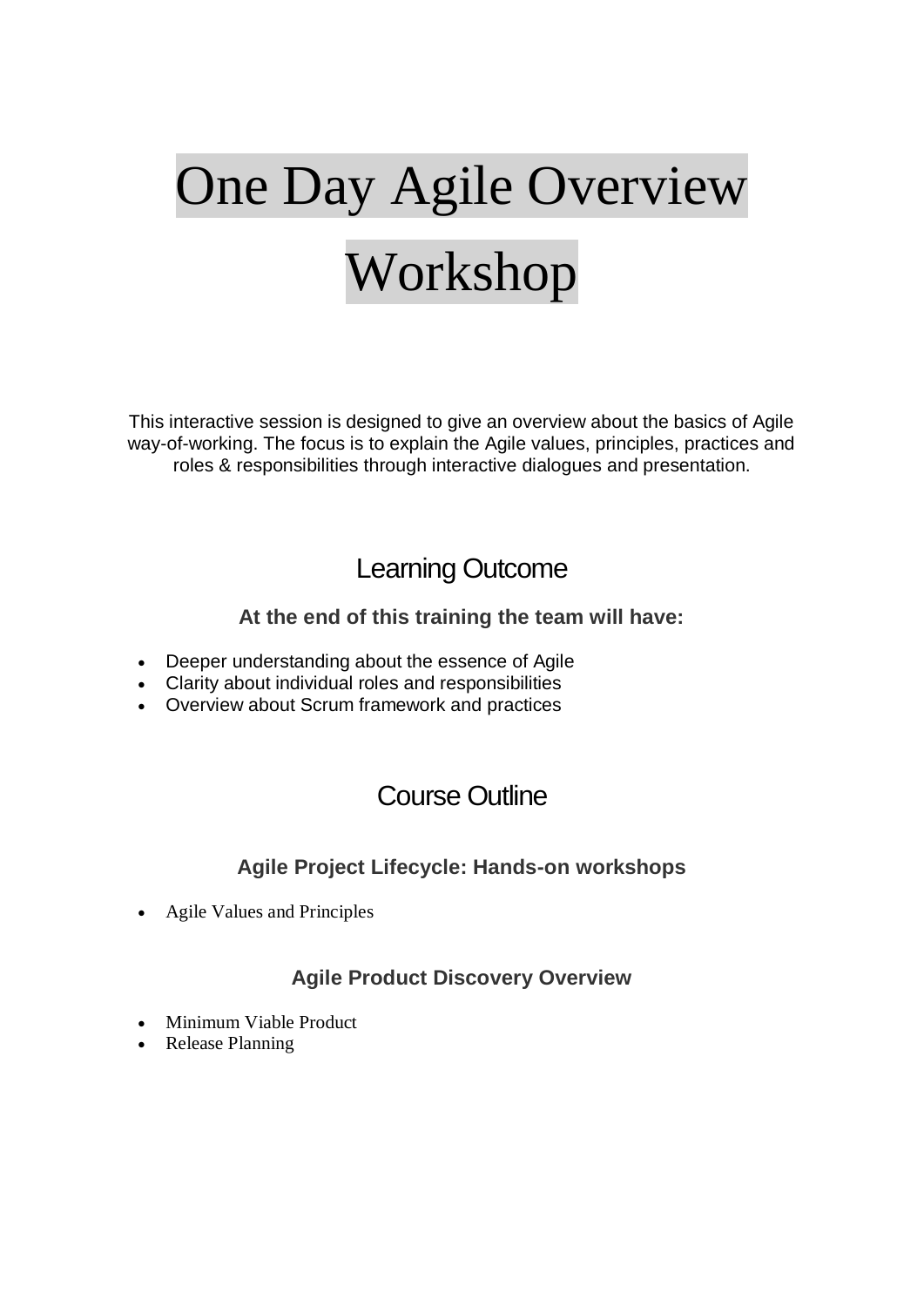# One Day Agile Overview Workshop

This interactive session is designed to give an overview about the basics of Agile way-of-working. The focus is to explain the Agile values, principles, practices and roles & responsibilities through interactive dialogues and presentation.

# Learning Outcome

## **At the end of this training the team will have:**

- Deeper understanding about the essence of Agile
- Clarity about individual roles and responsibilities
- Overview about Scrum framework and practices

# Course Outline

## **Agile Project Lifecycle: Hands-on workshops**

Agile Values and Principles

## **Agile Product Discovery Overview**

- Minimum Viable Product
- Release Planning